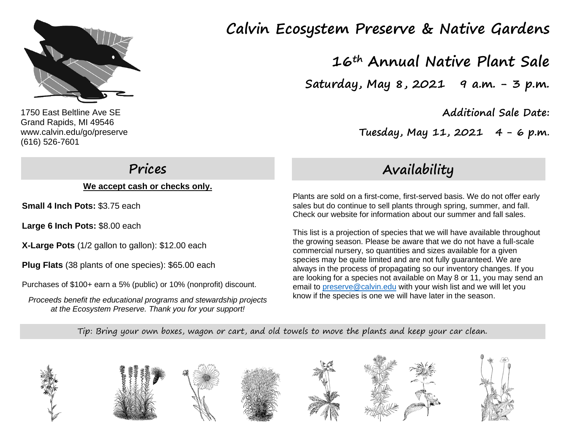

1750 East Beltline Ave SE Grand Rapids, MI 49546 www.calvin.edu/go/preserve (616) 526-7601

# **Prices**

**We accept cash or checks only.**

**Small 4 Inch Pots:** \$3.75 each

**Large 6 Inch Pots:** \$8.00 each

**X-Large Pots** (1/2 gallon to gallon): \$12.00 each

**Plug Flats** (38 plants of one species): \$65.00 each

Purchases of \$100+ earn a 5% (public) or 10% (nonprofit) discount.

*Proceeds benefit the educational programs and stewardship projects at the Ecosystem Preserve. Thank you for your support!*

# **Calvin Ecosystem Preserve & Native Gardens**

**16th Annual Native Plant Sale**

**Saturday, May 8, 2021 9 a.m. - 3 p.m.**

**Additional Sale Date:** 

 **Tuesday, May 11, 2021 4 - 6 p.m**.

# **Availability**

Plants are sold on a first-come, first-served basis. We do not offer early sales but do continue to sell plants through spring, summer, and fall. Check our website for information about our summer and fall sales.

This list is a projection of species that we will have available throughout the growing season. Please be aware that we do not have a full-scale commercial nursery, so quantities and sizes available for a given species may be quite limited and are not fully guaranteed. We are always in the process of propagating so our inventory changes. If you are looking for a species not available on May 8 or 11, you may send an email to [preserve@calvin.edu](mailto:preserve@calvin.edu) with your wish list and we will let you know if the species is one we will have later in the season.

Tip: Bring your own boxes, wagon or cart, and old towels to move the plants and keep your car clean.

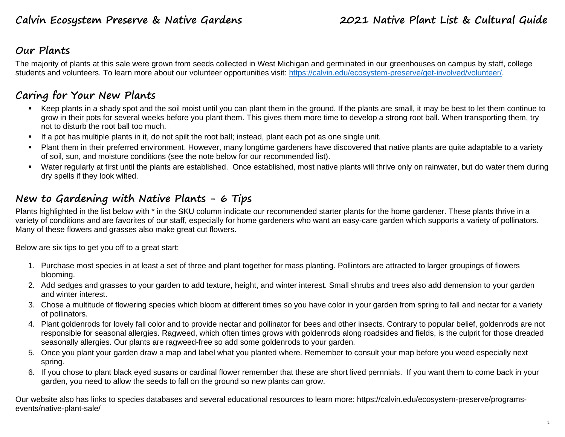### **Our Plants**

The majority of plants at this sale were grown from seeds collected in West Michigan and germinated in our greenhouses on campus by staff, college students and volunteers. To learn more about our volunteer opportunities visit: [https://calvin.edu/ecosystem-preserve/get-involved/volunteer/.](https://calvin.edu/ecosystem-preserve/get-involved/volunteer/)

### **Caring for Your New Plants**

- Keep plants in a shady spot and the soil moist until you can plant them in the ground. If the plants are small, it may be best to let them continue to grow in their pots for several weeks before you plant them. This gives them more time to develop a strong root ball. When transporting them, try not to disturb the root ball too much.
- If a pot has multiple plants in it, do not spilt the root ball; instead, plant each pot as one single unit.
- Plant them in their preferred environment. However, many longtime gardeners have discovered that native plants are quite adaptable to a variety of soil, sun, and moisture conditions (see the note below for our recommended list).
- Water regularly at first until the plants are established. Once established, most native plants will thrive only on rainwater, but do water them during dry spells if they look wilted.

### **New to Gardening with Native Plants - 6 Tips**

Plants highlighted in the list below with \* in the SKU column indicate our recommended starter plants for the home gardener. These plants thrive in a variety of conditions and are favorites of our staff, especially for home gardeners who want an easy-care garden which supports a variety of pollinators. Many of these flowers and grasses also make great cut flowers.

Below are six tips to get you off to a great start:

- 1. Purchase most species in at least a set of three and plant together for mass planting. Pollintors are attracted to larger groupings of flowers blooming.
- 2. Add sedges and grasses to your garden to add texture, height, and winter interest. Small shrubs and trees also add demension to your garden and winter interest.
- 3. Chose a multitude of flowering species which bloom at different times so you have color in your garden from spring to fall and nectar for a variety of pollinators.
- 4. Plant goldenrods for lovely fall color and to provide nectar and pollinator for bees and other insects. Contrary to popular belief, goldenrods are not responsible for seasonal allergies. Ragweed, which often times grows with goldenrods along roadsides and fields, is the culprit for those dreaded seasonally allergies. Our plants are ragweed-free so add some goldenrods to your garden.
- 5. Once you plant your garden draw a map and label what you planted where. Remember to consult your map before you weed especially next spring.
- 6. If you chose to plant black eyed susans or cardinal flower remember that these are short lived pernnials. If you want them to come back in your garden, you need to allow the seeds to fall on the ground so new plants can grow.

Our website also has links to species databases and several educational resources to learn more: https://calvin.edu/ecosystem-preserve/programsevents/native-plant-sale/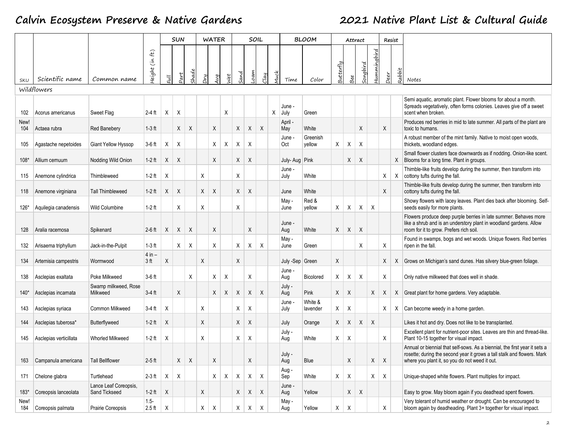|             |                        |                                        |                                                  |                           | <b>SUN</b> |                           |    | <b>WATER</b> |              |      | SOIL |         |      |                 | <b>BLOOM</b>        |              |          | Attract |            |                          | Resist |                                                                                                                                                                                                         |
|-------------|------------------------|----------------------------------------|--------------------------------------------------|---------------------------|------------|---------------------------|----|--------------|--------------|------|------|---------|------|-----------------|---------------------|--------------|----------|---------|------------|--------------------------|--------|---------------------------------------------------------------------------------------------------------------------------------------------------------------------------------------------------------|
| SKU         | Scientific name        | Common name                            | $\mathbf{f}$<br>$\widetilde{\epsilon}$<br>teight | $\overline{\overline{u}}$ | 2art       | had                       | Pи | ΛÑ           | Jet          | iand | oam  | $2$ lay | 1uci | Time            | Color               | 3utterfly    | Bee      | ngbird  | ummingbird | $\overline{\phantom{a}}$ | Rabbit | Notes                                                                                                                                                                                                   |
|             | Wildflowers            |                                        |                                                  |                           |            |                           |    |              |              |      |      |         |      |                 |                     |              |          |         |            |                          |        |                                                                                                                                                                                                         |
| 102         | Acorus americanus      | Sweet Flag                             | $2-4$ ft                                         | X                         | X          |                           |    |              | Χ            |      |      |         | X    | June -<br>July  | Green               |              |          |         |            |                          |        | Semi aquatic, aromatic plant. Flower blooms for about a month.<br>Spreads vegetatively, often forms colonies. Leaves give off a sweet<br>scent when broken.                                             |
| New!<br>104 | Actaea rubra           | <b>Red Banebery</b>                    | $1-3$ ft                                         |                           | X          | $\boldsymbol{\mathsf{X}}$ |    | X            |              | X    | X    | X       |      | April<br>May    | White               |              |          | X       |            | X                        |        | Produces red berries in mid to late summer. All parts of the plant are<br>toxic to humans.                                                                                                              |
| 105         | Agastache nepetoides   | Giant Yellow Hyssop                    | $3-6$ ft                                         | Χ                         | X          |                           |    | Χ            | Χ            | Χ    | Χ    |         |      | June<br>Oct     | Greenish<br>vellow  | X            | Χ        | X       |            |                          |        | A robust member of the mint family. Native to moist open woods,<br>thickets, woodland edges.                                                                                                            |
| $108*$      | Allium cernuum         | Nodding Wild Onion                     | 1-2 ft                                           | Χ                         | X          |                           |    | X            |              | X    | X    |         |      | July-Aug Pink   |                     |              | X        | Χ       |            |                          | X      | Small flower clusters face downwards as if nodding. Onion-like scent.<br>Blooms for a long time. Plant in groups.                                                                                       |
| 115         | Anemone cylindrica     | Thimbleweed                            | $1-2$ ft                                         | X                         |            |                           | X  |              |              | X    |      |         |      | June -<br>July  | White               |              |          |         |            | Χ                        | X      | Thimble-like fruits develop during the summer, then transform into<br>cottony tufts during the fall.                                                                                                    |
| 118         | Anemone virginiana     | <b>Tall Thimbleweed</b>                | $1-2$ ft                                         | X                         | Χ          |                           | X  | X            |              | X    | X    |         |      | June            | White               |              |          |         |            | X                        |        | Thimble-like fruits develop during the summer, then transform into<br>cottony tufts during the fall.                                                                                                    |
| 126*        | Aquilegia canadensis   | <b>Wild Columbine</b>                  | $1-2$ ft                                         |                           | X          |                           | Χ  |              |              | Χ    |      |         |      | May -<br>June   | Red &<br>vellow     | X            | Χ        | X       | X          |                          |        | Showy flowers with lacey leaves. Plant dies back after blooming. Self-<br>seeds easily for more plants.                                                                                                 |
| 128         | Aralia racemosa        | Spikenard                              | $2-6$ ft                                         | X                         | X          | X                         |    | X            |              |      | X    |         |      | June -<br>Aug   | White               | X            | X        | X       |            |                          |        | Flowers produce deep purple berries in late summer. Behaves more<br>like a shrub and is an understory plant in woodland gardens. Allow<br>room for it to grow. Prefers rich soil.                       |
| 132         | Arisaema triphyllum    | Jack-in-the-Pulpit                     | $1-3$ ft                                         |                           | X          | $\boldsymbol{\mathsf{X}}$ |    | X            |              | Χ    | Χ    | X       |      | May -<br>June   | Green               |              |          | Χ       |            | X                        |        | Found in swamps, bogs and wet woods. Unique flowers. Red berries<br>ripen in the fall.                                                                                                                  |
| 134         | Artemisia campestris   | Wormwood                               | $4$ in $-$<br>3 <sub>ft</sub>                    | X                         |            |                           | Χ  |              |              | Χ    |      |         |      | July -Sep Green |                     | X            |          |         |            | X                        | X      | Grows on Michigan's sand dunes. Has silvery blue-green foliage.                                                                                                                                         |
| 138         | Asclepias exaltata     | Poke Milkweed                          | $3-6$ ft                                         |                           |            | Χ                         |    | X            | X            |      | X    |         |      | June -<br>Aug   | Bicolored           | X            | Χ        | X       |            | X                        |        | Only native milkweed that does well in shade.                                                                                                                                                           |
| 140*        | Asclepias incarnata    | Swamp milkweed, Rose<br>Milkweed       | $3-4$ ft                                         |                           | X          |                           |    | X            | $\mathsf{X}$ | X    | Χ    | X       |      | July -<br>Aug   | Pink                | $\mathsf{X}$ | $\times$ |         | X          | X                        |        | X Great plant for home gardens. Very adaptable.                                                                                                                                                         |
| 143         | Asclepias syriaca      | Common Milkweed                        | 3-4 ft                                           | Χ                         |            |                           | Χ  |              |              | Χ    | Χ    |         |      | June<br>July    | White &<br>lavender | X            | Χ        |         |            | Χ                        |        | $X$ Can become weedy in a home garden.                                                                                                                                                                  |
| 144         | Asclepias tuberosa*    | Butterflyweed                          | $1-2$ ft                                         | X                         |            |                           | X  |              |              | X    | X    |         |      | July            | Orange              | X            | X        | Χ       | X          |                          |        | Likes it hot and dry. Does not like to be transplanted.                                                                                                                                                 |
| 145         | Asclepias verticillata | Whorled Milkweed                       | $1-2$ ft                                         | Χ                         |            |                           | Χ  |              |              | Χ    | Χ    |         |      | July -<br>Aug   | White               | X            | Χ        |         |            | Χ                        |        | Excellent plant for nutrient-poor sites. Leaves are thin and thread-like.<br>Plant 10-15 together for visual impact.                                                                                    |
| 163         | Campanula americana    | <b>Tall Bellflower</b>                 | $2-5$ ft                                         |                           | X          | X                         |    | X            |              |      | X    |         |      | July -<br>Aug   | Blue                |              | X        |         | X          | X                        |        | Annual or biennial that self-sows. As a biennial, the first year it sets a<br>rosette; during the second year it grows a tall stalk and flowers. Mark<br>where you plant it, so you do not weed it out. |
| 171         | Chelone glabra         | Turtlehead                             | $2-3$ ft                                         | Χ                         | X          |                           |    | X            | Χ            | X    | X    | X       |      | Aug-<br>Sep     | White               | X            | X        |         | X          | Χ                        |        | Unique-shaped white flowers. Plant multiples for impact.                                                                                                                                                |
| 183*        | Coreopsis lanceolata   | Lance Leaf Coreopsis,<br>Sand Tickseed | $1-2$ ft                                         | X                         |            |                           | X  |              |              | X    | X    | X       |      | June -<br>Aug   | Yellow              |              | Χ        | X       |            |                          |        | Easy to grow. May bloom again if you deadhead spent flowers.                                                                                                                                            |
| New!<br>184 | Coreopsis palmata      | Prairie Coreopsis                      | $1.5 -$<br>$2.5$ ft                              | X                         |            |                           | X  | X            |              | X    | X    | Χ       |      | May -<br>Aug    | Yellow              | X            | Χ        |         |            | X                        |        | Very tolerant of humid weather or drought. Can be encouraged to<br>bloom again by deadheading. Plant 3+ together for visual impact.                                                                     |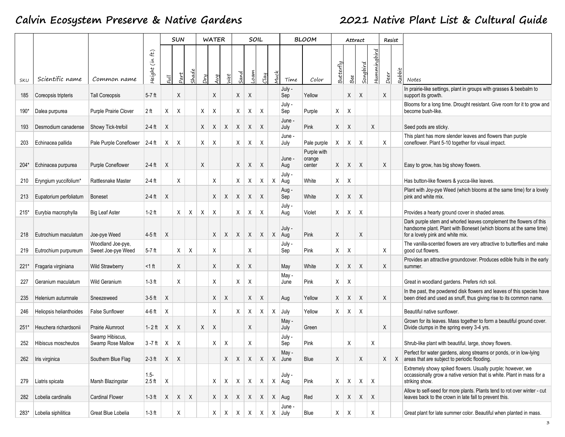|        |                         |                                         |                     |                           | <b>SUN</b>                |       |     | <b>WATER</b> |              |              | SOIL            |                           |                    | <b>BLOOM</b>                    |           |                           | Attract  |              |      | Resist |                                                                                                                                                                              |
|--------|-------------------------|-----------------------------------------|---------------------|---------------------------|---------------------------|-------|-----|--------------|--------------|--------------|-----------------|---------------------------|--------------------|---------------------------------|-----------|---------------------------|----------|--------------|------|--------|------------------------------------------------------------------------------------------------------------------------------------------------------------------------------|
| SKU    | Scientific name         | Common name                             | f(t)<br>Height (in  | $\overline{u}$            | $2$ art                   | shade | Dry | Avg          | ť            | and          | oam             | clay                      | Time               | Color                           | Butterfly | Bee                       | Songbird | Hummingbird  | Deer | Rabbit | Notes                                                                                                                                                                        |
| 185    | Coreopsis tripteris     | <b>Tall Coreopsis</b>                   | $5-7$ ft            |                           | X                         |       |     | X            |              | Χ            | X               |                           | July -<br>Sep      | Yellow                          |           | X                         | Χ        |              | X    |        | In prairie-like settings, plant in groups with grasses & beebalm to<br>support its growth.                                                                                   |
| 190*   | Dalea purpurea          | Purple Prairie Clover                   | 2 <sub>ft</sub>     | Χ                         | Χ                         |       | Χ   | Χ            |              | X            | Χ               | X                         | July -<br>Sep      | Purple                          | X         | Χ                         |          |              |      |        | Blooms for a long time. Drought resistant. Give room for it to grow and<br>become bush-like.                                                                                 |
| 193    | Desmodium canadense     | Showy Tick-trefoil                      | 2-4 ft              | X                         |                           |       | X   | Χ            | X            | X            | X               | X                         | June -<br>July     | Pink                            | X         | X                         |          | Χ            |      |        | Seed pods are sticky.                                                                                                                                                        |
| 203    | Echinacea pallida       | Pale Purple Coneflower 2-4 ft           |                     | Χ                         | Χ                         |       | Χ   | Χ            |              | Χ            | Χ               | X                         | June -<br>July     | Pale purple                     | X         | X                         | Χ        |              | X    |        | This plant has more slender leaves and flowers than purple<br>coneflower. Plant 5-10 together for visual impact.                                                             |
| $204*$ | Echinacea purpurea      | Purple Coneflower                       | $2-4$ ft            | X                         |                           |       | X   |              |              | X            | X               | X                         | June -<br>Aug      | Purple with<br>orange<br>center | X         | X                         | X        |              | X    |        | Easy to grow, has big showy flowers.                                                                                                                                         |
| 210    | Eryngium yuccifolium*   | <b>Rattlesnake Master</b>               | $2-4$ ft            |                           | X                         |       |     | X            |              | X            | Χ               | X                         | July -<br>X Aug    | White                           | X         | Χ                         |          |              |      |        | Has button-like flowers & yucca-like leaves.                                                                                                                                 |
| 213    | Eupatorium perfoliatum  | <b>Boneset</b>                          | $2-4$ ft            | X                         |                           |       |     | Χ            | Χ            | X            | X               | $\boldsymbol{\mathsf{X}}$ | Aug -<br>Sep       | White                           | X         | X                         | X        |              |      |        | Plant with Joy-pye Weed (which blooms at the same time) for a lovely<br>pink and white mix.                                                                                  |
| $215*$ | Eurybia macrophylla     | <b>Big Leaf Aster</b>                   | $1-2$ ft            |                           | Χ                         | Χ     | Χ   | X            |              | X            | Χ               | X                         | July -<br>Aug      | Violet                          | X         | Χ                         | Χ        |              |      |        | Provides a hearty ground cover in shaded areas.                                                                                                                              |
| 218    | Eutrochium maculatum    | Joe-pye Weed                            | $4-5$ ft            | $\boldsymbol{\mathsf{X}}$ |                           |       |     | $\mathsf{X}$ | $\mathsf{X}$ | $\times$     | X               | $\sf X$                   | July -<br>X Aug    | Pink                            | X         |                           | X        |              |      |        | Dark purple stem and whorled leaves complement the flowers of this<br>handsome plant. Plant with Boneset (which blooms at the same time)<br>for a lovely pink and white mix. |
| 219    | Eutrochium purpureum    | Woodland Joe-pye,<br>Sweet Joe-pye Weed | $5-7$ ft            |                           | X                         | X     |     | X            |              |              | Χ               |                           | July -<br>Sep      | Pink                            | X         | Χ                         |          |              | X    |        | The vanilla-scented flowers are very attractive to butterflies and make<br>good cut flowers.                                                                                 |
| $221*$ | Fragaria virginiana     | <b>Wild Strawberry</b>                  | $<$ 1 ft            |                           | X                         |       |     | X            |              | X            | X               |                           | May                | White                           | X         | $\mathsf{X}$              | X        |              | X    |        | Provides an attractive groundcover. Produces edible fruits in the early<br>summer.                                                                                           |
| 227    | Geranium maculatum      | <b>Wild Geranium</b>                    | $1-3$ ft            |                           | X                         |       |     | X            |              | Χ            | X               |                           | May -<br>June      | Pink                            | X         | Χ                         |          |              |      |        | Great in woodland gardens. Prefers rich soil.                                                                                                                                |
| 235    | Helenium autumnale      | Sneezeweed                              | $3-5$ ft            | X                         |                           |       |     | X            | X            |              | X               | X                         | Aug                | Yellow                          | X         | X                         | X        |              | X    |        | In the past, the powdered disk flowers and leaves of this species have<br>been dried and used as snuff, thus giving rise to its common name.                                 |
| 246    | Heliopsis helianthoides | <b>False Sunflower</b>                  | $4-6$ ft            | Χ                         |                           |       |     | X            |              | X            | X               | X                         | $X$ July           | Yellow                          | X         | Χ                         | Χ        |              |      |        | Beautiful native sunflower.                                                                                                                                                  |
| $251*$ | Heuchera richardsonii   | Prairie Alumroot                        | 1-2 ft              | X                         | $\boldsymbol{\mathsf{X}}$ |       | X   | X            |              |              | X               |                           | May -<br>July      | Green                           |           |                           |          |              | X    |        | Grown for its leaves. Mass together to form a beautiful ground cover.<br>Divide clumps in the spring every 3-4 yrs.                                                          |
| 252    | Hibiscus moscheutos     | Swamp Hibiscus,<br>Swamp Rose Mallow    | $3 - 7$ ft          | $\mathsf{X}$              | Χ                         |       |     | Χ            | Χ            |              | Χ               |                           | July -<br>Sep      | Pink                            |           | Χ                         |          | Χ            |      |        | Shrub-like plant with beautiful, large, showy flowers.                                                                                                                       |
| 262    | Iris virginica          | Southern Blue Flag                      | $2-3$ ft            | $\mathsf{X}$              | $\boldsymbol{\mathsf{X}}$ |       |     |              | X            |              | $X \mid X \mid$ | $\mathsf{X}$              | May -<br>X June    | Blue                            | X         |                           | X        |              | X    |        | Perfect for water gardens, along streams or ponds, or in low-lying<br>$X$ areas that are subject to periodic flooding.                                                       |
| 279    | Liatris spicata         | Marsh Blazingstar                       | $1.5 -$<br>$2.5$ ft | $\boldsymbol{\mathsf{X}}$ |                           |       |     | Χ            | X            | $\mathsf{X}$ | X               | X                         | July -<br>X Aug    | Pink                            | X         | Χ                         | X        | $\mathsf{X}$ |      |        | Extremely showy spiked flowers. Usually purple; however, we<br>occassionally grow a native version that is white. Plant in mass for a<br>striking show.                      |
| 282    | Lobelia cardinalis      | <b>Cardinal Flower</b>                  | $1-3$ ft            | X                         | X                         | Χ     |     | X            | $\mathsf{X}$ | $X \mid$     | X               | $\mathsf{X}$              | X Aug              | Red                             | X         | X                         | X        | X            |      |        | Allow to self-seed for more plants. Plants tend to rot over winter - cut<br>leaves back to the crown in late fall to prevent this.                                           |
| 283*   | Lobelia siphilitica     | Great Blue Lobelia                      | $1-3$ ft            |                           | X                         |       |     | X            | $\mathsf{X}$ | $\mathsf{X}$ | X               | X                         | June -<br>$X$ July | Blue                            | X         | $\boldsymbol{\mathsf{X}}$ |          | Χ            |      |        | Great plant for late summer color. Beautiful when planted in mass.                                                                                                           |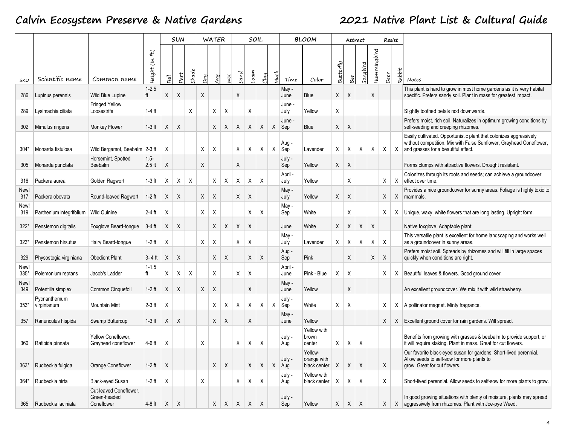|                |                             |                                                      |                                                |      | <b>SUN</b>   |       |     | <b>WATER</b> |              |      |              | SOIL    |              |                   | <b>BLOOM</b>                           |           |              | Attract  |             |      | Resist       |                                                                                                                                                                                  |
|----------------|-----------------------------|------------------------------------------------------|------------------------------------------------|------|--------------|-------|-----|--------------|--------------|------|--------------|---------|--------------|-------------------|----------------------------------------|-----------|--------------|----------|-------------|------|--------------|----------------------------------------------------------------------------------------------------------------------------------------------------------------------------------|
| SKU            | Scientific name             | Common name                                          | $\mathbf{f}$<br>$\tilde{\epsilon}$<br>Height I | Full | Part         | Shade | Dry | Avg          | let          | iand | oam          | $2$ lay |              | Time              | Color                                  | Butterfly | Bee          | Songbird | Hummingbird | Deer | Rabbit       | Notes                                                                                                                                                                            |
| 286            | Lupinus perennis            | Wild Blue Lupine                                     | $1 - 2.5$<br>ft                                | Χ    | X            |       | X   |              |              | X    |              |         |              | May -<br>June     | Blue                                   | X         | Χ            |          | X           |      |              | This plant is hard to grow in most home gardens as it is very habitat<br>specific. Prefers sandy soil. Plant in mass for greatest impact.                                        |
| 289            | Lysimachia ciliata          | <b>Fringed Yellow</b><br>Loosestrife                 | 1-4 $ft$                                       |      |              | X     |     | Χ            | Χ            |      | X            |         |              | June<br>July      | Yellow                                 | Χ         |              |          |             |      |              | Slightly toothed petals nod downwards.                                                                                                                                           |
| 302            | Mimulus ringens             | Monkey Flower                                        | $1-3$ ft                                       | X    | X            |       |     | Χ            | Χ            | X    | X            | X       | X            | June<br>Sep       | Blue                                   | X         | Χ            |          |             |      |              | Prefers moist, rich soil. Naturalizes in optimum growing conditions by<br>self-seeding and creeping rhizomes.                                                                    |
| 304*           | Monarda fistulosa           | Wild Bergamot, Beebalm 2-3 ft                        |                                                | Χ    |              |       | Χ   | Χ            |              | X    | Χ            | X       | $\mathsf{X}$ | Aug -<br>Sep      | Lavender                               | X         | $\mathsf{X}$ | X        | X           | X    | $\mathsf{X}$ | Easily cultivated. Opportunistic plant that colonizes aggressively<br>without competition. Mix with False Sunflower, Grayhead Coneflower,<br>and grasses for a beautiful effect. |
| 305            | Monarda punctata            | Horsemint, Spotted<br>Beebalm                        | $1.5 -$<br>$2.5$ ft                            | Χ    |              |       | X   |              |              | Χ    |              |         |              | July -<br>Sep     | Yellow                                 | X         | X            |          |             |      |              | Forms clumps with attractive flowers. Drought resistant.                                                                                                                         |
| 316            | Packera aurea               | Golden Ragwort                                       | $1-3$ ft                                       | X    | Χ            | Χ     |     | Χ            | Χ            | Χ    | Χ            | X       |              | April -<br>July   | Yellow                                 |           | X            |          |             | Χ    | X            | Colonizes through its roots and seeds; can achieve a groundcover<br>effect over time.                                                                                            |
| New!<br>317    | Packera obovata             | Round-leaved Ragwort                                 | $1-2$ ft                                       | X    | X            |       | Χ   | X            |              | Χ    | Χ            |         |              | May -<br>July     | Yellow                                 | X         | X            |          |             | Χ    | X            | Provides a nice groundcover for sunny areas. Foliage is highly toxic to<br>mammals.                                                                                              |
| New!<br>319    | Parthenium integrifolium    | Wild Quinine                                         | $2-4$ ft                                       | Χ    |              |       | Х   | X            |              |      | Χ            | Χ       |              | May -<br>Sep      | White                                  |           | X            |          |             | Χ    | X            | Unique, waxy, white flowers that are long lasting. Upright form.                                                                                                                 |
| $322*$         | Penstemon digitalis         | Foxglove Beard-tongue                                | $3-4$ ft                                       | X    | Χ            |       |     | X            | X            | X    | X            |         |              | June              | White                                  | X         | X            | X        | X           |      |              | Native foxglove. Adaptable plant.                                                                                                                                                |
| $323*$         | Penstemon hirsutus          | Hairy Beard-tongue                                   | $1-2$ ft                                       | Χ    |              |       | X   | X            |              | X    | Χ            |         |              | May -<br>July     | Lavender                               | X         | X            | Χ        | X           | Χ    |              | This versatile plant is excellent for home landscaping and works well<br>as a groundcover in sunny areas.                                                                        |
| 329            | Physostegia virginiana      | <b>Obedient Plant</b>                                | 3-4 ft                                         | X    | Χ            |       |     | X            | Χ            |      | X            | X       |              | Aug -<br>Sep      | Pink                                   |           | X            |          | X           | X    |              | Prefers moist soil. Spreads by rhizomes and will fill in large spaces<br>quickly when conditions are right.                                                                      |
| New!<br>$335*$ | Polemonium reptans          | Jacob's Ladder                                       | $1 - 1.5$                                      | Χ    | Χ            | Χ     |     | Χ            |              | Х    | Χ            |         |              | April -<br>June   | Pink - Blue                            | Χ         | X            |          |             | Х    |              | X   Beautiful leaves & flowers. Good ground cover.                                                                                                                               |
| New!<br>349    | Potentilla simplex          | Common Cinquefoil                                    | $1-2$ ft                                       | X    | X            |       | X   | X            |              |      | X            |         |              | May -<br>June     | Yellow                                 |           | X            |          |             |      |              | An excellent groundcover. We mix it with wild strawberry.                                                                                                                        |
| $353*$         | Pycnanthemum<br>virginianum | <b>Mountain Mint</b>                                 | $2-3$ ft                                       | Χ    |              |       |     | Χ            | Χ            | Х    | Χ            | X       | $\mathsf{X}$ | July -<br>Sep     | White                                  | Χ         | Χ            |          |             | Х    | X            | A pollinator magnet. Minty fragrance.                                                                                                                                            |
| 357            | Ranunculus hispida          | Swamp Buttercup                                      | $1-3$ ft                                       | X    | Χ            |       |     | Χ            | X            |      | Χ            |         |              | May -<br>June     | Yellow                                 |           |              |          |             | X    |              | X   Excellent ground cover for rain gardens. Will spread.                                                                                                                        |
| 360            | Ratibida pinnata            | Yellow Coneflower,<br>Grayhead coneflower            | $4-6$ ft                                       | Χ    |              |       | Χ   |              |              | X    | Χ            | X       |              | July -<br>Aug     | Yellow with<br>brown<br>center         | X         | X            | Χ        |             |      |              | Benefits from growing with grasses & beebalm to provide support, or<br>it will require staking. Plant in mass. Great for cut flowers.                                            |
| $363*$         | Rudbeckia fulgida           | Orange Coneflower                                    | $1-2$ ft                                       | Χ    |              |       |     | $\mathsf X$  | X            |      | X            | X       |              | July -<br>$X$ Aug | Yellow-<br>orange with<br>black center | X         | X            | X        |             | X    |              | Our favorite black-eyed susan for gardens. Short-lived perennial.<br>Allow seeds to self-sow for more plants to<br>grow. Great for cut flowers.                                  |
| $364*$         | Rudbeckia hirta             | Black-eyed Susan                                     | $1-2$ ft                                       | X    |              |       | Χ   |              |              | Χ    | X            | X       |              | July -<br>Aug     | Yellow with<br>black center            | Χ         | X            | Χ        |             | Χ    |              | Short-lived perennial. Allow seeds to self-sow for more plants to grow.                                                                                                          |
| 365            | Rudbeckia laciniata         | Cut-leaved Coneflower.<br>Green-headed<br>Coneflower | $4-8$ ft                                       | X    | $\mathsf{X}$ |       |     | X            | $\mathsf{X}$ | X    | $\mathsf{X}$ | $\sf X$ |              | July -<br>Sep     | Yellow                                 |           | $X \mid X$   | X        |             | X    |              | In good growing situations with plenty of moisture, plants may spread<br>X aggressively from rhizomes. Plant with Joe-pye Weed.                                                  |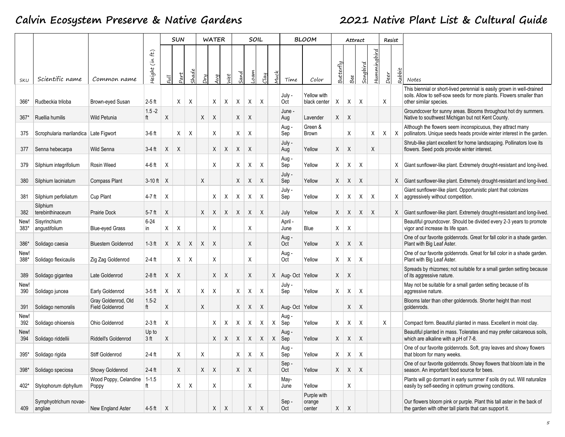|              |                                       |                                               |                                      |                | <b>SUN</b> |       |     | <b>WATER</b> |     |      |     | SOIL    |     |                   | <b>BLOOM</b>                    |           |                           | Attract  |             | Resist     |        |                                                                                                                                                                          |
|--------------|---------------------------------------|-----------------------------------------------|--------------------------------------|----------------|------------|-------|-----|--------------|-----|------|-----|---------|-----|-------------------|---------------------------------|-----------|---------------------------|----------|-------------|------------|--------|--------------------------------------------------------------------------------------------------------------------------------------------------------------------------|
| SKU          | Scientific name                       | Common name                                   | f(t)<br>$\tilde{\epsilon}$<br>Height | F <sub>U</sub> | Part       | Shade | Ruc | Avg          | vet | iand | oam | Clay    | Juc | Time              | Color                           | Butterfly | Bee                       | Songbird | Hummingbird | Deer       | Rabbit | Notes                                                                                                                                                                    |
| 366*         | Rudbeckia triloba                     | Brown-eyed Susan                              | $2-5$ ft                             |                | X          | X     |     | X            | X   | Χ    | Χ   | X       |     | July -<br>Oct     | Yellow with<br>black center     | Χ         | Χ                         | Χ        |             | Χ          |        | This biennial or short-lived perennial is easily grown in well-drained<br>soils. Allow to self-sow seeds for more plants. Flowers smaller than<br>other similar species. |
| $367*$       | Ruellia humilis                       | <b>Wild Petunia</b>                           | $1.5 - 2$<br>ft                      | Χ              |            |       | Χ   | X            |     | X    | Χ   |         |     | June -<br>Aug     | Lavender                        | X         | X                         |          |             |            |        | Groundcover for sunny areas. Blooms throughout hot dry summers.<br>Native to southwest Michigan but not Kent County.                                                     |
| 375          | Scrophularia marilandica Late Figwort |                                               | $3-6$ ft                             |                | X          | X     |     | X            |     | X    | X   |         |     | Aug-<br>Sep       | Green &<br>Brown                |           | X                         |          | Χ           | $X \mid X$ |        | Although the flowers seem inconspicuous, they attract many<br>pollinators. Unique seeds heads provide winter interest in the garden.                                     |
| 377          | Senna hebecarpa                       | Wild Senna                                    | $3-4$ ft                             | X              | X          |       |     | X            | X   | X    | X   |         |     | July -<br>Aug     | Yellow                          | X         | X                         |          | X           |            |        | Shrub-like plant excellent for home landscaping. Pollinators love its<br>flowers. Seed pods provide winter interest.                                                     |
| 379          | Silphium integrifolium                | Rosin Weed                                    | 4-6 ft                               | Χ              |            |       |     | X            |     | X    | Χ   | X       |     | Aug -<br>Sep      | Yellow                          | X         | Χ                         | X        |             |            |        | X Giant sunflower-like plant. Extremely drought-resistant and long-lived.                                                                                                |
| 380          | Silphium laciniatum                   | <b>Compass Plant</b>                          | $3-10$ ft $\mid X$                   |                |            |       | Χ   |              |     | X    | X   | X       |     | July -<br>Sep     | Yellow                          | X         | X                         | Χ        |             |            |        | X Giant sunflower-like plant. Extremely drought-resistant and long-lived.                                                                                                |
| 381          | Silphium perfoliatum                  | <b>Cup Plant</b>                              | $4-7$ ft                             | X              |            |       |     | X            | Χ   | Χ    | Χ   | Χ       |     | July -<br>Sep     | Yellow                          | Χ         | Χ                         | Χ        | Χ           |            | X.     | Giant sunflower-like plant. Opportunistic plant that colonizes<br>aggressively without competition.                                                                      |
| 382          | Silphium<br>terebinthinaceum          | <b>Prairie Dock</b>                           | $5-7$ ft                             | X              |            |       | X   | X            | X   | X    | X   | $\sf X$ |     | July              | Yellow                          | X         | X                         | X        | X           |            |        | X Giant sunflower-like plant. Extremely drought-resistant and long-lived.                                                                                                |
| New!<br>383* | Sisyrinchium<br>angustifolium         | <b>Blue-eyed Grass</b>                        | $6 - 24$<br>in                       | Χ              | Χ          |       |     | X            |     |      | X   |         |     | April -<br>June   | Blue                            | Χ         | Χ                         |          |             |            |        | Beautiful groundcover. Should be divided every 2-3 years to promote<br>vigor and increase its life span.                                                                 |
| 386*         | Solidago caesia                       | <b>Bluestem Goldenrod</b>                     | $1-3$ ft                             | X              | X          | X     | X   | X            |     |      | X   |         |     | Aug-<br>Oct       | Yellow                          | X         | X                         | Χ        |             |            |        | One of our favorite goldenrods. Great for fall color in a shade garden.<br>Plant with Big Leaf Aster.                                                                    |
| New!<br>388* | Solidago flexicaulis                  | Zig Zag Goldenrod                             | $2-4$ ft                             |                | X          | X     |     | Χ            |     |      | Χ   |         |     | Aug -<br>Oct      | Yellow                          | X         | Χ                         | Χ        |             |            |        | One of our favorite goldenrods. Great for fall color in a shade garden.<br>Plant with Big Leaf Aster.                                                                    |
| 389          | Solidago gigantea                     | Late Goldenrod                                | $2-8$ ft                             | X              | $\sf X$    |       |     | X            | Χ   |      | X   |         |     | X Aug- Oct Yellow |                                 | X         | X                         |          |             |            |        | Spreads by rhizomes; not suitable for a small garden setting because<br>of its aggressive nature.                                                                        |
| New!<br>390  | Solidago juncea                       | Early Goldenrod                               | $3-5$ ft                             | X              | X          |       | Х   | X            |     | Χ    | Χ   | Χ       |     | July -<br>Sep     | Yellow                          | X         | Χ                         | X        |             |            |        | May not be suitable for a small garden setting because of its<br>aggressive nature.                                                                                      |
| 391          | Solidago nemoralis                    | Gray Goldenrod, Old<br><b>Field Goldenrod</b> | $1.5 - 2$<br>ft                      | Χ              |            |       | Χ   |              |     | X    | X   | X       |     | Aug- Oct Yellow   |                                 |           | X                         | Χ        |             |            |        | Blooms later than other goldenrods. Shorter height than most<br>goldenrods.                                                                                              |
| New!<br>392  | Solidago ohioensis                    | Ohio Goldenrod                                | $2-3$ ft                             | Χ              |            |       |     | X            | Χ   | Χ    | Χ   | Χ       | Χ   | Aug -<br>Sep      | Yellow                          | X         | Χ                         | Χ        |             | X          |        | Compact form. Beautiful planted in mass. Excellent in moist clay.                                                                                                        |
| New!<br>394  | Solidago riddellii                    | Riddell's Goldenrod                           | Up to<br>3 <sub>ft</sub>             | Χ              |            |       |     | Χ            | X   | X    | X   | Χ       | X   | Aug -<br>Sep      | Yellow                          | Χ         | Χ                         | Χ        |             |            |        | Beautiful planted in mass. Tolerates and may prefer calcareous soils,<br>which are alkaline with a pH of 7-8.                                                            |
| 395*         | Solidago rigida                       | Stiff Goldenrod                               | $2-4$ ft                             |                | X          |       | Х   |              |     | X    | X   | X       |     | Aug-<br>Sep       | Yellow                          | X.        | X                         | X        |             |            |        | One of our favorite goldenrods. Soft, gray leaves and showy flowers<br>that bloom for many weeks.                                                                        |
| 398*         | Solidago speciosa                     | Showy Goldenrod                               | $2-4$ ft                             |                | X          |       | X   | X            |     | X    | X   |         |     | Sep-<br>Oct       | Yellow                          | X         | X                         | Χ        |             |            |        | One of our favorite goldenrods. Showy flowers that bloom late in the<br>season. An important food source for bees.                                                       |
| 402*         | Stylophorum diphyllum                 | Wood Poppy, Celandine<br>Poppy                | $1 - 1.5$<br>ft                      |                | X          | Χ     |     | X            |     |      | Χ   |         |     | May-<br>June      | Yellow                          |           | Χ                         |          |             |            |        | Plants will go dormant in early summer if soils dry out. Will naturalize<br>easily by self-seeding in optimum growing conditions.                                        |
| 409          | Symphyotrichum novae-<br>angliae      | New England Aster                             | $4-5$ ft $\overline{X}$              |                |            |       |     | X            | X   |      | X   | X       |     | Sep-<br>Oct       | Purple with<br>orange<br>center | X         | $\boldsymbol{\mathsf{X}}$ |          |             |            |        | Our flowers bloom pink or purple. Plant this tall aster in the back of<br>the garden with other tall plants that can support it.                                         |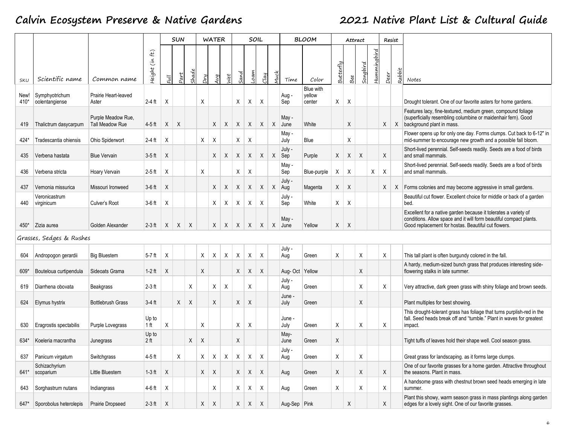|              |                                  |                                       |                                       |              | <b>SUN</b> |              |     | <b>WATER</b> |              |      |              | SOIL                      |   |                 | <b>BLOOM</b>                  |           |     | Attract  |             |      | Resist |                                                                                                                                                                                              |
|--------------|----------------------------------|---------------------------------------|---------------------------------------|--------------|------------|--------------|-----|--------------|--------------|------|--------------|---------------------------|---|-----------------|-------------------------------|-----------|-----|----------|-------------|------|--------|----------------------------------------------------------------------------------------------------------------------------------------------------------------------------------------------|
| SKU          | Scientific name                  | Common name                           | $\mathbf{f}$<br>$\tilde{c}$<br>Height | $Fu$ ll      | 2art       | <b>Shade</b> | Pry | Ŋ            | Jet          | sand | iam          | $2$ lay                   |   | Time            | Color                         | Butterfly | Bee | Songbird | Hummingbird | Deer | Rabbit | Notes                                                                                                                                                                                        |
| New!<br>410* | Symphyotrichum<br>oolentangiense | Prairie Heart-leaved<br>Aster         | 2-4 ft                                | Χ            |            |              | X   |              |              | X    | Χ            | X                         |   | Aug -<br>Sep    | Blue with<br>yellow<br>center | X         | Χ   |          |             |      |        | Drought tolerant. One of our favorite asters for home gardens.                                                                                                                               |
| 419          | Thalictrum dasycarpum            | Purple Meadow Rue.<br>Tall Meadow Rue | 4-5 ft                                | X            | X          |              |     | X            | X            | X    | $\mathsf{X}$ | X                         |   | May -<br>X June | White                         |           | Χ   |          |             | X    |        | Features lacy, fine-textured, medium green, compound foliage<br>(superficially resembling columbine or maidenhair fern). Good<br>X background plant in mass.                                 |
| 424*         | Tradescantia ohiensis            | Ohio Spiderwort                       | 2-4 ft                                | Χ            |            |              | X   | X            |              | X    | Χ            |                           |   | May -<br>July   | Blue                          |           | Χ   |          |             |      |        | Flower opens up for only one day. Forms clumps. Cut back to 6-12" in<br>mid-summer to encourage new growth and a possible fall bloom.                                                        |
| 435          | Verbena hastata                  | <b>Blue Vervain</b>                   | $3-5$ ft                              | $\times$     |            |              |     | X            | X            | X    | X            | $\mathsf{X}$              | X | July -<br>Sep   | Purple                        | X         | Χ   | X        |             | X    |        | Short-lived perennial. Self-seeds readily. Seeds are a food of birds<br>and small mammals.                                                                                                   |
| 436          | Verbena stricta                  | Hoary Vervain                         | $2-5$ ft                              | $\times$     |            |              | X   |              |              | Χ    | Χ            |                           |   | May -<br>Sep    | Blue-purple                   | X         | X   |          | Χ           | X    |        | Short-lived perennial. Self-seeds readily. Seeds are a food of birds<br>and small mammals.                                                                                                   |
| 437          | Vernonia missurica               | Missouri Ironweed                     | $3-6$ ft                              | X            |            |              |     | X            | X            | X    | X            | X                         |   | July -<br>X Aug | Magenta                       | X         | X   |          |             | Χ    |        | X   Forms colonies and may become aggressive in small gardens.                                                                                                                               |
| 440          | Veronicastrum<br>virginicum      | Culver's Root                         | 3-6 ft                                | Χ            |            |              |     | X            | Χ            | X    | Χ            | Χ                         |   | July -<br>Sep   | White                         | X         | X   |          |             |      |        | Beautiful cut flower. Excellent choice for middle or back of a garden<br>bed.                                                                                                                |
| $450*$       | Zizia aurea                      | Golden Alexander                      | $2-3$ ft                              | $\mathsf{X}$ | $X \mid$   | $\times$     |     | X            | $\mathsf{X}$ | X    | $\mathsf{X}$ | X                         |   | May -<br>X June | Yellow                        | X         | X   |          |             |      |        | Excellent for a native garden because it tolerates a variety of<br>conditions. Allow space and it will form beautiful compact plants.<br>Good replacement for hostas. Beautiful cut flowers. |
|              | Grasses, Sedges & Rushes         |                                       |                                       |              |            |              |     |              |              |      |              |                           |   |                 |                               |           |     |          |             |      |        |                                                                                                                                                                                              |
| 604          | Andropogon gerardii              | <b>Big Bluestem</b>                   | $5-7$ ft                              | $\times$     |            |              | X   | X            | Χ            | X    | Χ            | X                         |   | July -<br>Aug   | Green                         | Χ         |     | Χ        |             | Χ    |        | This tall plant is often burgundy colored in the fall.                                                                                                                                       |
| 609*         | Bouteloua curtipendula           | Sideoats Grama                        | $1-2$ ft                              | $\times$     |            |              | X   |              |              | X    | X            | X                         |   | Aug- Oct Yellow |                               |           |     | X        |             |      |        | A hardy, medium-sized bunch grass that produces interesting side-<br>flowering stalks in late summer.                                                                                        |
| 619          | Diarrhena obovata                | <b>Beakgrass</b>                      | $2-3$ ft                              |              |            | Χ            |     | X            | Χ            |      | X            |                           |   | July -<br>Aug   | Green                         |           |     | X        |             | X    |        | Very attractive, dark green grass with shiny foliage and brown seeds.                                                                                                                        |
| 624          | Elymus hystrix                   | <b>Bottlebrush Grass</b>              | $3-4$ ft                              |              | $X \mid$   | $\times$     |     | X            |              | X    | X            |                           |   | June -<br>July  | Green                         |           |     | Χ        |             |      |        | Plant multiples for best showing.                                                                                                                                                            |
| 630          | Eragrostis spectabilis           | Purple Lovegrass                      | Up to<br>1 <sub>ft</sub>              | X            |            |              | Χ   |              |              | X    | Χ            |                           |   | June -<br>July  | Green                         | Χ         |     | Χ        |             | Χ    |        | This drought-tolerant grass has foliage that turns purplish-red in the<br>fall. Seed heads break off and "tumble." Plant in waves for greatest<br>impact.                                    |
| 634*         | Koeleria macrantha               | Junegrass                             | Up to<br>2 ft                         |              |            | X            | X   |              |              | X    |              |                           |   | May-<br>June    | Green                         | X         |     |          |             |      |        | Tight tuffs of leaves hold their shape well. Cool season grass.                                                                                                                              |
| 637          | Panicum virgatum                 | Switchgrass                           | $4-5$ ft                              |              | Χ          |              | X   | X            | X            | X    | X            | X                         |   | July -<br>Aug   | Green                         | Χ         |     | Χ        |             |      |        | Great grass for landscaping. as it forms large clumps.                                                                                                                                       |
|              | Schizachyrium<br>641* scoparium  | Little Bluestem                       | $1-3$ ft                              | X            |            |              | X   | X            |              | X    | X            | X                         |   | Aug             | Green                         | X         |     | X        |             | X    |        | One of our favorite grasses for a home garden. Attractive throughout<br>the seasons. Plant in mass.                                                                                          |
| 643          | Sorghastrum nutans               | Indiangrass                           | 4-6 ft                                | Χ            |            |              |     | X            |              | X    | X            | Χ                         |   | Aug             | Green                         | Χ         |     | Χ        |             | Χ    |        | A handsome grass with chestnut brown seed heads emerging in late<br>summer.                                                                                                                  |
| 647*         | Sporobolus heterolepis           | Prairie Dropseed                      | $2-3$ ft                              | X            |            |              | X   | $\sf X$      |              | X    | X            | $\boldsymbol{\mathsf{X}}$ |   | Aug-Sep Pink    |                               |           | Χ   |          |             | X    |        | Plant this showy, warm season grass in mass plantings along garden<br>edges for a lovely sight. One of our favorite grasses.                                                                 |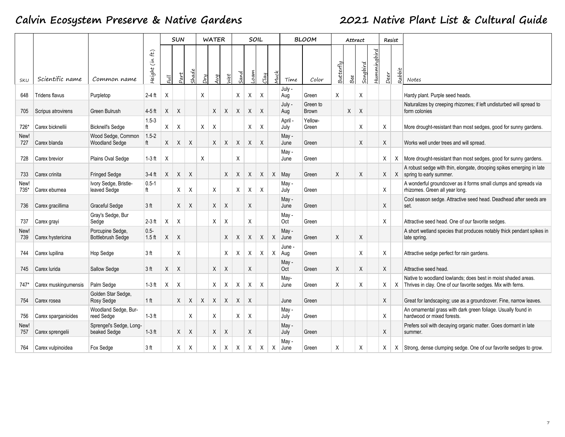|              |                       |                                              |                        |         | <b>SUN</b> |       |     | <b>WATER</b> |     |              |          | SOIL        |      |                   | <b>BLOOM</b>             |                  |     | Attract  |             |      | Resist |                                                                                                                               |
|--------------|-----------------------|----------------------------------------------|------------------------|---------|------------|-------|-----|--------------|-----|--------------|----------|-------------|------|-------------------|--------------------------|------------------|-----|----------|-------------|------|--------|-------------------------------------------------------------------------------------------------------------------------------|
| <b>SKU</b>   | Scientific name       | Common name                                  | ft)<br>i۴)<br>Height ( | $Fu$ ll | $2$ art    | Shade | Dry | Avg          | let | sand         | oam      | Clay        | Jucl | Time              | Color                    | <b>3utterfly</b> | Bee | Songbird | Hummingbird | Deer | Rabbit | Notes                                                                                                                         |
| 648          | <b>Tridens flavus</b> | Purpletop                                    | $2-4$ ft               | X       |            |       | Χ   |              |     | X            | Χ        | $\mathsf X$ |      | July -<br>Aug     | Green                    | X                |     | Χ        |             |      |        | Hardy plant. Purple seed heads.                                                                                               |
| 705          | Scripus atrovirens    | Green Bulrush                                | $4-5$ ft               | X       | X          |       |     | X            | Χ   | X            | Χ        | X           |      | July -<br>Aug     | Green to<br><b>Brown</b> |                  | X   | X        |             |      |        | Naturalizes by creeping rhizomes; if left undisturbed will spread to<br>form colonies                                         |
| 726*         | Carex bicknellii      | <b>Bicknell's Sedge</b>                      | $1.5 - 3$<br>ft        | X       | X          |       | Χ   | X            |     |              | X        | X           |      | April<br>July     | Yellow-<br>Green         |                  |     | Χ        |             | Χ    |        | More drought-resistant than most sedges, good for sunny gardens.                                                              |
| New!<br>727  | Carex blanda          | Wood Sedge, Common<br><b>Woodland Sedge</b>  | $1.5 - 2$<br>ft        | X       | Χ          | X     |     | X            | X   | X            | Χ        | X           |      | May -<br>June     | Green                    |                  |     | Χ        |             | Χ    |        | Works well under trees and will spread.                                                                                       |
| 728          | Carex brevior         | Plains Oval Sedge                            | $1-3$ ft               | X       |            |       | Χ   |              |     | Χ            |          |             |      | May -<br>June     | Green                    |                  |     |          |             | Χ    | Χ      | More drought-resistant than most sedges, good for sunny gardens.                                                              |
| 733          | Carex crinita         | <b>Fringed Sedge</b>                         | $3-4$ ft               | X       | X          | X     |     |              | X   | X            | X        | X           |      | X May             | Green                    | X                |     | Χ        |             | X    | X      | A robust sedge with thin, elongate, drooping spikes emerging in late<br>spring to early summer.                               |
| New!<br>735* | Carex eburnea         | Ivory Sedge, Bristle-<br>leaved Sedge        | $0.5 - 1$<br>ft        |         | X          | X     |     | X            |     | X            | Χ        | X           |      | May -<br>July     | Green                    |                  |     |          |             | X    |        | A wonderful groundcover as it forms small clumps and spreads via<br>rhizomes. Green all year long.                            |
| 736          | Carex gracillima      | Graceful Sedge                               | 3 <sub>ft</sub>        |         | X          | X     |     | X            | X   |              | $\sf X$  |             |      | May -<br>June     | Green                    |                  |     |          |             | Χ    |        | Cool season sedge. Attractive seed head. Deadhead after seeds are<br>set.                                                     |
| 737          | Carex grayi           | Gray's Sedge, Bur<br>Sedge                   | $2-3$ ft               | X       | Χ          |       |     | X            | X   |              | X        |             |      | May -<br>Oct      | Green                    |                  |     |          |             | Χ    |        | Attractive seed head. One of our favorite sedges.                                                                             |
| New!<br>739  | Carex hystericina     | Porcupine Sedge,<br><b>Bottlebrush Sedge</b> | $0.5 -$<br>$1.5$ ft    | Χ       | X          |       |     |              | X   | Χ            | Χ        | X           | X    | May -<br>June     | Green                    | X                |     | Χ        |             |      |        | A short wetland species that produces notably thick pendant spikes in<br>late spring.                                         |
| 744          | Carex lupilina        | Hop Sedge                                    | 3 <sub>ft</sub>        |         | Χ          |       |     |              | X   | Χ            | Χ        | Χ           |      | June -<br>$X$ Aug | Green                    |                  |     | X        |             | X    |        | Attractive sedge perfect for rain gardens.                                                                                    |
| 745          | Carex lurida          | Sallow Sedge                                 | 3 <sub>ft</sub>        | X       | X          |       |     | X            | X   |              | X        |             |      | May -<br>Oct      | Green                    | X                |     | Χ        |             | X    |        | Attractive seed head.                                                                                                         |
| 747*         | Carex muskingumensis  | Palm Sedge                                   | $1-3$ ft               | Χ       | X          |       |     | Χ            | Χ   | Χ            | X        | X           |      | May-<br>June      | Green                    | X                |     | Χ        |             | X    | X      | Native to woodland lowlands; does best in moist shaded areas.<br>Thrives in clay. One of our favorite sedges. Mix with ferns. |
| 754          | Carex rosea           | Golden Star Sedge,<br>Rosy Sedge             | 1 <sub>ft</sub>        |         | X          | X     | Χ   | X            | Χ   | X            | $\times$ |             |      | June              | Green                    |                  |     |          |             | X    |        | Great for landscaping; use as a groundcover. Fine, narrow leaves.                                                             |
| 756          | Carex sparganioides   | Woodland Sedge, Bur-<br>reed Sedge           | $1-3$ ft               |         |            | Χ     |     | Χ            |     | Χ            | Χ        |             |      | May -<br>July     | Green                    |                  |     |          |             | Χ    |        | An ornamental grass with dark green foliage. Usually found in<br>hardwood or mixed forests.                                   |
| New!<br>757  | Carex sprengelii      | Sprengel's Sedge, Long-<br>beaked Sedge      | $1-3$ ft               |         | X          | X     |     | X            | X   |              | X        |             |      | May -<br>July     | Green                    |                  |     |          |             | Χ    |        | Prefers soil with decaying organic matter. Goes dormant in late<br>summer.                                                    |
| 764          | Carex vulpinoidea     | Fox Sedge                                    | 3 <sub>ft</sub>        |         | X          | Χ     |     | Χ            | X   | $\mathsf{X}$ | Χ        | Χ           | X    | May -<br>June     | Green                    | X                |     | Χ        |             | Χ    | Χ      | Strong, dense clumping sedge. One of our favorite sedges to grow.                                                             |